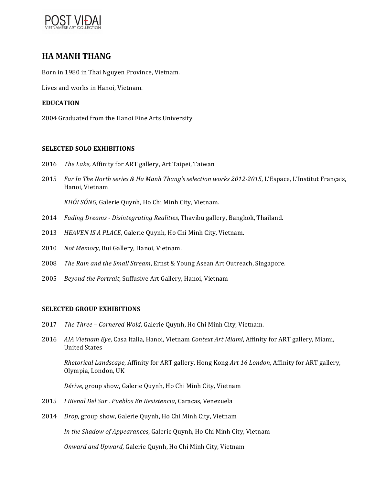

# **HA MANH THANG**

Born in 1980 in Thai Nguyen Province, Vietnam.

Lives and works in Hanoi, Vietnam.

### **EDUCATION**

2004 Graduated from the Hanoi Fine Arts University

#### **SELECTED SOLO EXHIBITIONS**

- 2016 *The Lake, Affinity for ART gallery, Art Taipei, Taiwan*
- 2015 *Far In The North series & Ha Manh Thang's selection works 2012-2015*, L'Espace, L'Institut Français, Hanoi, Vietnam

*KHÓI SÓNG, Galerie Quynh, Ho Chi Minh City, Vietnam.* 

- 2014 *Fading Dreams - Disintegrating Realities*, Thavibu gallery, Bangkok, Thailand.
- 2013 *HEAVEN IS A PLACE*, Galerie Quynh, Ho Chi Minh City, Vietnam.
- 2010 Not Memory, Bui Gallery, Hanoi, Vietnam.
- 2008 *The Rain and the Small Stream*, Ernst & Young Asean Art Outreach, Singapore.
- 2005 *Beyond the Portrait*, Suffusive Art Gallery, Hanoi, Vietnam

#### **SELECTED GROUP EXHIBITIONS**

- 2017 *The Three Cornered Wold*, Galerie Quynh, Ho Chi Minh City, Vietnam.
- 2016 *AIA Vietnam Eye*, Casa Italia, Hanoi, Vietnam *Context Art Miami*, Affinity for ART gallery, Miami, United States

*Rhetorical Landscape,* Affinity for ART gallery, Hong Kong Art 16 London, Affinity for ART gallery, Olympia, London, UK

Dérive, group show, Galerie Quynh, Ho Chi Minh City, Vietnam

- 2015 *I Bienal Del Sur . Pueblos En Resistencia*, Caracas, Venezuela
- 2014 *Drop*, group show, Galerie Quynh, Ho Chi Minh City, Vietnam

*In the Shadow of Appearances*, Galerie Quynh, Ho Chi Minh City, Vietnam

*Onward and Upward*, Galerie Quynh, Ho Chi Minh City, Vietnam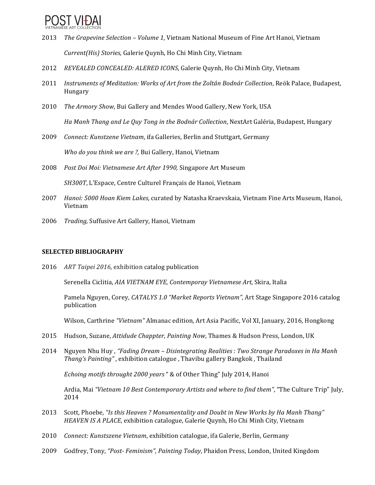

- 2013 *The Grapevine Selection Volume 1*, Vietnam National Museum of Fine Art Hanoi, Vietnam *Current(His) Stories, Galerie Quynh, Ho Chi Minh City, Vietnam*
- 2012 *REVEALED CONCEALED: ALERED ICONS*, Galerie Ouynh, Ho Chi Minh City, Vietnam
- 2011 *Instruments of Meditation: Works of Art from the Zoltán Bodnár Collection*, Reök Palace, Budapest, Hungary
- 2010 *The Armory Show*, Bui Gallery and Mendes Wood Gallery, New York, USA

Ha Manh Thang and Le Quy Tong in the Bodnár Collection, NextArt Galéria, Budapest, Hungary

2009 *Connect: Kunstzene Vietnam*, ifa Galleries, Berlin and Stuttgart, Germany

*Who do you think we are ?, Bui Gallery, Hanoi, Vietnam* 

2008 Post Doi Moi: Vietnamese Art After 1990, Singapore Art Museum

*SH300T*, L'Espace, Centre Culturel Français de Hanoi, Vietnam

- 2007 *Hanoi: 5000 Hoan Kiem Lakes,* curated by Natasha Kraevskaia, Vietnam Fine Arts Museum, Hanoi, Vietnam
- 2006 *Trading,* Suffusive Art Gallery, Hanoi, Vietnam

# **SELECTED BIBLIOGRAPHY**

2016 ART Taipei 2016, exhibition catalog publication

Serenella Ciclitia, AIA VIETNAM EYE, Contemporay Vietnamese Art, Skira, Italia

Pamela Nguyen, Corey, *CATALYS* 1.0 "Market Reports Vietnam", Art Stage Singapore 2016 catalog publication 

Wilson, Carthrine "Vietnam" Almanac edition, Art Asia Pacific, Vol XI, January, 2016, Hongkong

- 2015 Hudson, Suzane, *Attidude Chappter*, *Painting Now*, Thames & Hudson Press, London, UK
- 2014 Nguyen Nhu Huy, "Fading Dream Disintegrating Realities: Two Strange Paradoxes in Ha Manh *Thang's Painting"*, exhibition catalogue, Thavibu gallery Bangkok, Thailand

*Echoing motifs throught 2000 years* " & of Other Thing" July 2014, Hanoi

Ardia, Mai *"Vietnam 10 Best Contemporary Artists and where to find them"*, "The Culture Trip" July, 2014 

- 2013 Scott, Phoebe, "Is this Heaven? Monumentality and Doubt in New Works by Ha Manh Thang" *HEAVEN IS A PLACE*, exhibition catalogue, Galerie Ouynh, Ho Chi Minh City, Vietnam
- 2010 *Connect: Kunstszene Vietnam*, exhibition catalogue, ifa Galerie, Berlin, Germany
- 2009 Godfrey, Tony, "Post- Feminism", Painting Today, Phaidon Press, London, United Kingdom